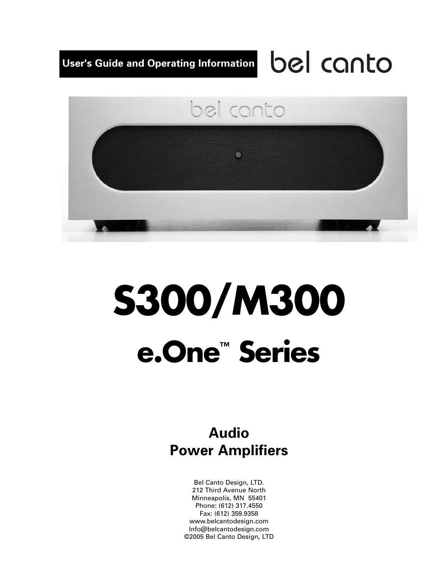# bel canto **User's Guide and Operating Information**



# **S300/M300 e.One™ Series**

# **Audio Power Amplifiers**

Bel Canto Design, LTD. 212 Third Avenue North Minneapolis, MN 55401 Phone: (612) 317.4550 Fax: (612) 359.9358 www.belcantodesign.com Info@belcantodesign.com ©2005 Bel Canto Design, LTD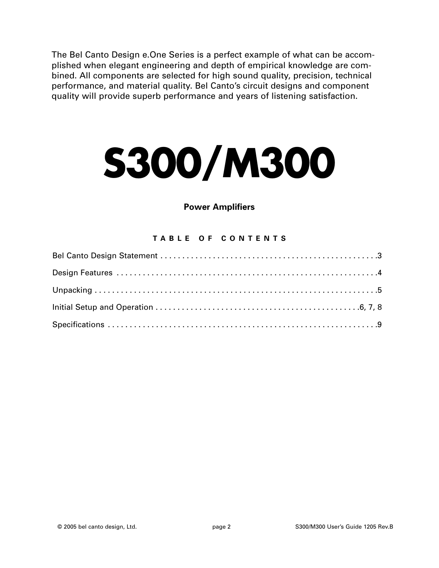The Bel Canto Design e.One Series is a perfect example of what can be accomplished when elegant engineering and depth of empirical knowledge are combined. All components are selected for high sound quality, precision, technical performance, and material quality. Bel Canto's circuit designs and component quality will provide superb performance and years of listening satisfaction.

# **S300/M300**

#### **Power Amplifiers**

#### **TABLE OF CONTENTS**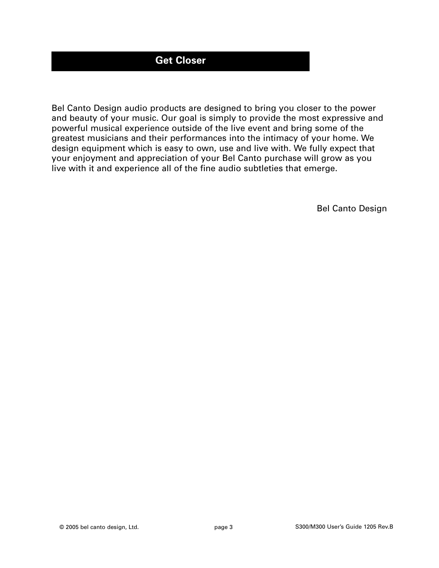## **Get Closer**

Bel Canto Design audio products are designed to bring you closer to the power and beauty of your music. Our goal is simply to provide the most expressive and powerful musical experience outside of the live event and bring some of the greatest musicians and their performances into the intimacy of your home. We design equipment which is easy to own, use and live with. We fully expect that your enjoyment and appreciation of your Bel Canto purchase will grow as you live with it and experience all of the fine audio subtleties that emerge.

Bel Canto Design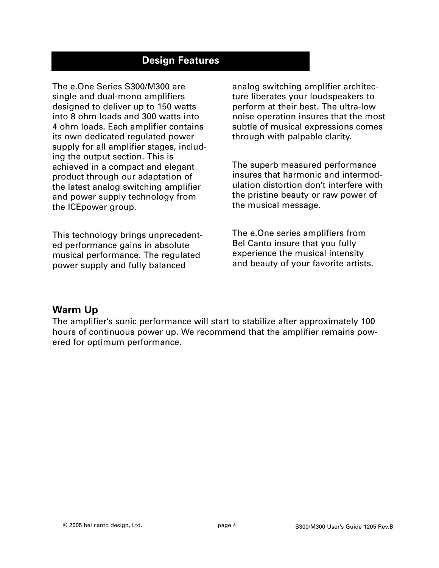#### **Design Features**

The e.One Series S300/M300 are single and dual-mono amplifiers designed to deliver up to 150 watts into 8 ohm loads and 300 watts into 4 ohm loads. Each amplifier contains its own dedicated regulated power supply for all amplifier stages, including the output section. This is achieved in a compact and elegant product through our adaptation of the latest analog switching amplifier and power supply technology from the ICEpower group.

This technology brings unprecedented performance gains in absolute musical performance. The regulated power supply and fully balanced

analog switching amplifier architecture liberates your loudspeakers to perform at their best. The ultra-low noise operation insures that the most subtle of musical expressions comes through with palpable clarity.

The superb measured performance insures that harmonic and intermodulation distortion don't interfere with the pristine beauty or raw power of the musical message.

The e.One series amplifiers from Bel Canto insure that you fully experience the musical intensity and beauty of your favorite artists.

#### **Warm Up**

The amplifier's sonic performance will start to stabilize after approximately 100 hours of continuous power up. We recommend that the amplifier remains powered for optimum performance.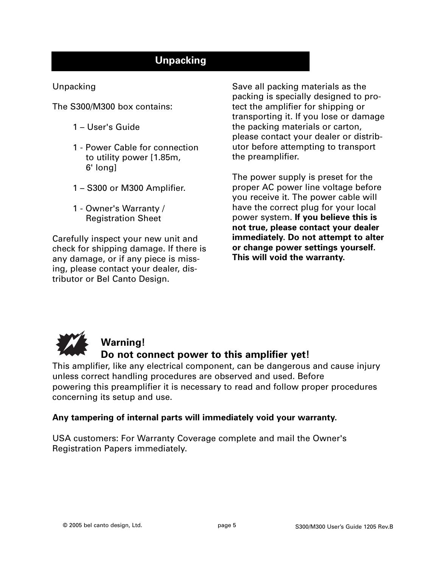## **Unpacking**

#### Unpacking

The S300/M300 box contains:

- 1 User's Guide
- 1 Power Cable for connection to utility power [1.85m, 6' long]
- 1 S300 or M300 Amplifier.
- 1 Owner's Warranty / Registration Sheet

Carefully inspect your new unit and check for shipping damage. If there is any damage, or if any piece is missing, please contact your dealer, distributor or Bel Canto Design.

Save all packing materials as the packing is specially designed to protect the amplifier for shipping or transporting it. If you lose or damage the packing materials or carton, please contact your dealer or distributor before attempting to transport the preamplifier.

The power supply is preset for the proper AC power line voltage before you receive it. The power cable will have the correct plug for your local power system. **If you believe this is not true, please contact your dealer immediately. Do not attempt to alter or change power settings yourself. This will void the warranty.**



# **Warning!**

#### **Do not connect power to this amplifier yet!**

This amplifier, like any electrical component, can be dangerous and cause injury unless correct handling procedures are observed and used. Before powering this preamplifier it is necessary to read and follow proper procedures concerning its setup and use.

#### **Any tampering of internal parts will immediately void your warranty.**

USA customers: For Warranty Coverage complete and mail the Owner's Registration Papers immediately.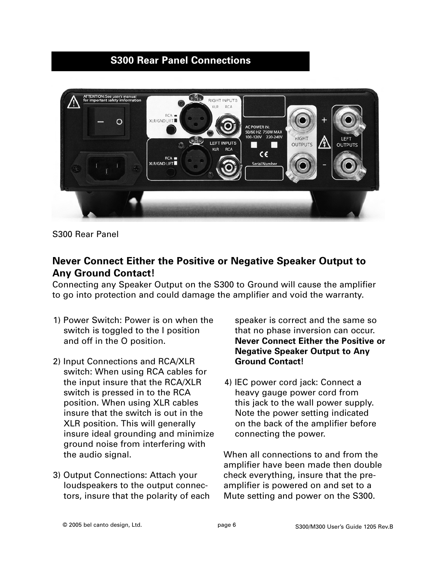### **S300 Rear Panel Connections**



S300 Rear Panel

#### **Never Connect Either the Positive or Negative Speaker Output to Any Ground Contact!**

Connecting any Speaker Output on the S300 to Ground will cause the amplifier to go into protection and could damage the amplifier and void the warranty.

- 1) Power Switch: Power is on when the switch is toggled to the I position and off in the O position.
- 2) Input Connections and RCA/XLR switch: When using RCA cables for the input insure that the RCA/XLR switch is pressed in to the RCA position. When using XLR cables insure that the switch is out in the XLR position. This will generally insure ideal grounding and minimize ground noise from interfering with the audio signal.
- 3) Output Connections: Attach your loudspeakers to the output connectors, insure that the polarity of each

speaker is correct and the same so that no phase inversion can occur. **Never Connect Either the Positive or Negative Speaker Output to Any Ground Contact!** 

4) IEC power cord jack: Connect a heavy gauge power cord from this jack to the wall power supply. Note the power setting indicated on the back of the amplifier before connecting the power.

When all connections to and from the amplifier have been made then double check everything, insure that the preamplifier is powered on and set to a Mute setting and power on the S300.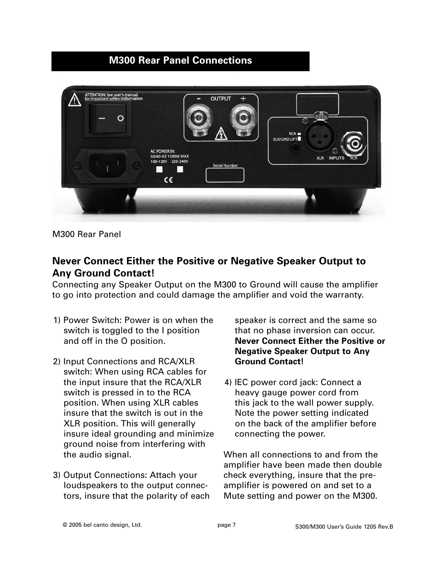### **M300 Rear Panel Connections**



M300 Rear Panel

#### **Never Connect Either the Positive or Negative Speaker Output to Any Ground Contact!**

Connecting any Speaker Output on the M300 to Ground will cause the amplifier to go into protection and could damage the amplifier and void the warranty.

- 1) Power Switch: Power is on when the switch is toggled to the I position and off in the O position.
- 2) Input Connections and RCA/XLR switch: When using RCA cables for the input insure that the RCA/XLR switch is pressed in to the RCA position. When using XLR cables insure that the switch is out in the XLR position. This will generally insure ideal grounding and minimize ground noise from interfering with the audio signal.
- 3) Output Connections: Attach your loudspeakers to the output connectors, insure that the polarity of each

speaker is correct and the same so that no phase inversion can occur. **Never Connect Either the Positive or Negative Speaker Output to Any Ground Contact!** 

4) IEC power cord jack: Connect a heavy gauge power cord from this jack to the wall power supply. Note the power setting indicated on the back of the amplifier before connecting the power.

When all connections to and from the amplifier have been made then double check everything, insure that the preamplifier is powered on and set to a Mute setting and power on the M300.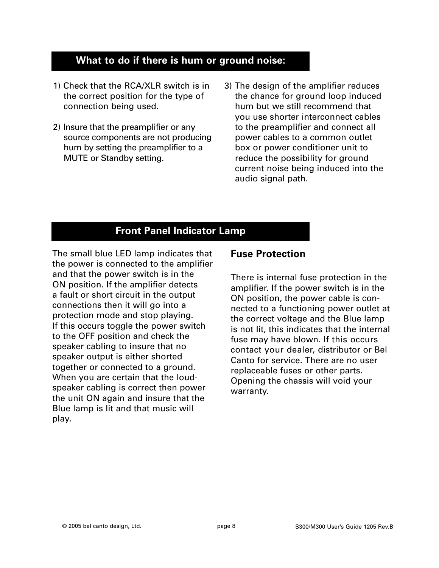#### **What to do if there is hum or ground noise:**

- 1) Check that the RCA/XLR switch is in the correct position for the type of connection being used.
- 2) Insure that the preamplifier or any source components are not producing hum by setting the preamplifier to a MUTE or Standby setting.
- 3) The design of the amplifier reduces the chance for ground loop induced hum but we still recommend that you use shorter interconnect cables to the preamplifier and connect all power cables to a common outlet box or power conditioner unit to reduce the possibility for ground current noise being induced into the audio signal path.

# **Front Panel Indicator Lamp**

The small blue LED lamp indicates that the power is connected to the amplifier and that the power switch is in the ON position. If the amplifier detects a fault or short circuit in the output connections then it will go into a protection mode and stop playing. If this occurs toggle the power switch to the OFF position and check the speaker cabling to insure that no speaker output is either shorted together or connected to a ground. When you are certain that the loudspeaker cabling is correct then power the unit ON again and insure that the Blue lamp is lit and that music will play.

#### **Fuse Protection**

There is internal fuse protection in the amplifier. If the power switch is in the ON position, the power cable is connected to a functioning power outlet at the correct voltage and the Blue lamp is not lit, this indicates that the internal fuse may have blown. If this occurs contact your dealer, distributor or Bel Canto for service. There are no user replaceable fuses or other parts. Opening the chassis will void your warranty.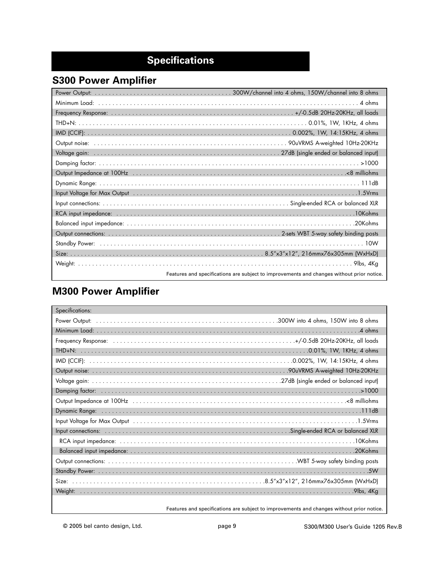# **Specifications**

# **S300 Power Amplifier**

| Input Voltage for Max Output (1998) (1998) (1998) (1998) (1998) (1998) (1998) (1998) (1998) (1998) (1998) (199 |
|----------------------------------------------------------------------------------------------------------------|
|                                                                                                                |
|                                                                                                                |
|                                                                                                                |
|                                                                                                                |
|                                                                                                                |
|                                                                                                                |
|                                                                                                                |
| Features and specifications are subject to improvements and changes without prior notice.                      |

# **M300 Power Amplifier**

| Specifications: |                                                                                                                                                                                                                                |
|-----------------|--------------------------------------------------------------------------------------------------------------------------------------------------------------------------------------------------------------------------------|
|                 |                                                                                                                                                                                                                                |
|                 |                                                                                                                                                                                                                                |
|                 |                                                                                                                                                                                                                                |
|                 |                                                                                                                                                                                                                                |
|                 |                                                                                                                                                                                                                                |
|                 |                                                                                                                                                                                                                                |
|                 |                                                                                                                                                                                                                                |
|                 |                                                                                                                                                                                                                                |
|                 | 8 milliohms = 0.00 milliohms = 0.00 milliohms = 0.00 milliohms = 0.00 milliohms = 0.00 milliohms = 0.00 milliohms = 0.00 milliohms = 0.00 milliohms = 0.00 milliohms = 0.00 milliohms = 0.00 milliohms = 0.00 milliohms = 0.00 |
|                 |                                                                                                                                                                                                                                |
|                 | Input Voltage for Max Output National Account Account Account Account Account Account Account Account Account A                                                                                                                |
|                 |                                                                                                                                                                                                                                |
|                 |                                                                                                                                                                                                                                |
|                 |                                                                                                                                                                                                                                |
|                 |                                                                                                                                                                                                                                |
|                 |                                                                                                                                                                                                                                |
|                 |                                                                                                                                                                                                                                |
|                 |                                                                                                                                                                                                                                |
|                 | Features and specifications are subject to improvements and changes without prior notice.                                                                                                                                      |